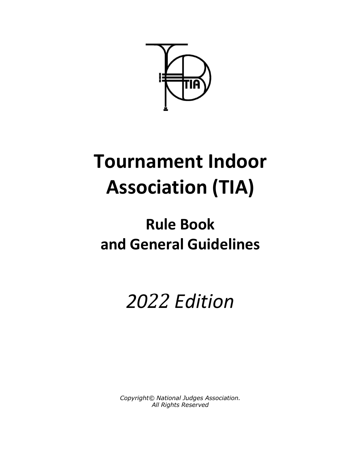# **Tournament Indoor Association (TIA)**

# **Rule Book and General Guidelines**

*2022 Edition*

*Copyright© National Judges Association. All Rights Reserved*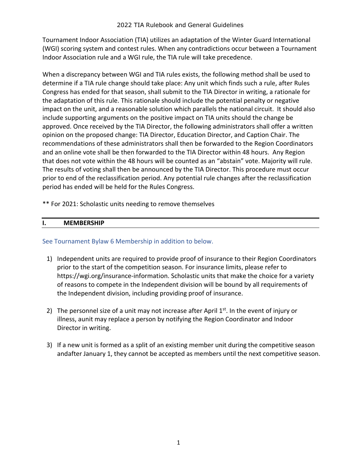Tournament Indoor Association (TIA) utilizes an adaptation of the Winter Guard International (WGI) scoring system and contest rules. When any contradictions occur between a Tournament Indoor Association rule and a WGI rule, the TIA rule will take precedence.

When a discrepancy between WGI and TIA rules exists, the following method shall be used to determine if a TIA rule change should take place: Any unit which finds such a rule, after Rules Congress has ended for that season, shall submit to the TIA Director in writing, a rationale for the adaptation of this rule. This rationale should include the potential penalty or negative impact on the unit, and a reasonable solution which parallels the national circuit. It should also include supporting arguments on the positive impact on TIA units should the change be approved. Once received by the TIA Director, the following administrators shall offer a written opinion on the proposed change: TIA Director, Education Director, and Caption Chair. The recommendations of these administrators shall then be forwarded to the Region Coordinators and an online vote shall be then forwarded to the TIA Director within 48 hours. Any Region that does not vote within the 48 hours will be counted as an "abstain" vote. Majority will rule. The results of voting shall then be announced by the TIA Director. This procedure must occur prior to end of the reclassification period. Any potential rule changes after the reclassification period has ended will be held for the Rules Congress.

\*\* For 2021: Scholastic units needing to remove themselves

# **I. MEMBERSHIP**

#### See Tournament Bylaw 6 Membership in addition to below.

- 1) Independent units are required to provide proof of insurance to their Region Coordinators prior to the start of the competition season. For insurance limits, please refer to https://wgi.org/insurance-information. Scholastic units that make the choice for a variety of reasons to compete in the Independent division will be bound by all requirements of the Independent division, including providing proof of insurance.
- 2) The personnel size of a unit may not increase after April  $1<sup>st</sup>$ . In the event of injury or illness, aunit may replace a person by notifying the Region Coordinator and Indoor Director in writing.
- 3) If a new unit is formed as a split of an existing member unit during the competitive season andafter January 1, they cannot be accepted as members until the next competitive season.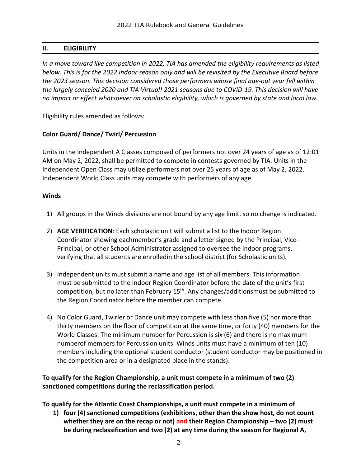# **II. ELIGIBILITY**

*In a move toward live competition in 2022, TIA has amended the eligibility requirements as listed below. This is for the 2022 indoor season only and will be revisited by the Executive Board before the 2023 season. This decision considered those performers whose final age-out year fell within the largely canceled 2020 and TIA Virtual! 2021 seasons due to COVID-19. This decision will have no impact or effect whatsoever on scholastic eligibility, which is governed by state and local law.*

Eligibility rules amended as follows:

#### **Color Guard/ Dance/ Twirl/ Percussion**

Units in the Independent A Classes composed of performers not over 24 years of age as of 12:01 AM on May 2, 2022, shall be permitted to compete in contests governed by TIA. Units in the Independent Open Class may utilize performers not over 25 years of age as of May 2, 2022. Independent World Class units may compete with performers of any age.

#### **Winds**

- 1) All groups in the Winds divisions are not bound by any age limit, so no change is indicated.
- 2) **AGE VERIFICATION**: Each scholastic unit will submit a list to the Indoor Region Coordinator showing eachmember's grade and a letter signed by the Principal, Vice-Principal, or other School Administrator assigned to oversee the indoor programs, verifying that all students are enrolledin the school district (for Scholastic units).
- 3) Independent units must submit a name and age list of all members. This information must be submitted to the Indoor Region Coordinator before the date of the unit's first competition, but no later than February 15<sup>th</sup>. Any changes/additionsmust be submitted to the Region Coordinator before the member can compete.
- 4) No Color Guard, Twirler or Dance unit may compete with less than five (5) nor more than thirty members on the floor of competition at the same time, or forty (40) members for the World Classes. The minimum number for Percussion is six (6) and there is no maximum numberof members for Percussion units. Winds units must have a minimum of ten (10) members including the optional student conductor (student conductor may be positioned in the competition area or in a designated place in the stands).

**To qualify for the Region Championship, a unit must compete in a minimum of two (2) sanctioned competitions during the reclassification period.**

**To qualify for the Atlantic Coast Championships, a unit must compete in a minimum of**

**1) four (4) sanctioned competitions (exhibitions, other than the show host, do not count whether they are on the recap or not) and their Region Championship** – **two (2) must be during reclassification and two (2) at any time during the season for Regional A,**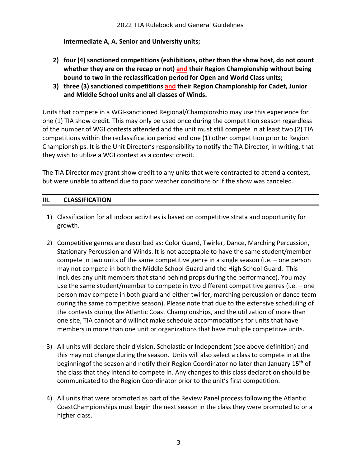**Intermediate A, A, Senior and University units;**

- **2) four (4) sanctioned competitions (exhibitions, other than the show host, do not count whether they are on the recap or not) and their Region Championship without being bound to two in the reclassification period for Open and World Class units;**
- **3) three (3) sanctioned competitions and their Region Championship for Cadet, Junior and Middle School units and all classes of Winds.**

Units that compete in a WGI-sanctioned Regional/Championship may use this experience for one (1) TIA show credit. This may only be used once during the competition season regardless of the number of WGI contests attended and the unit must still compete in at least two (2) TIA competitions within the reclassification period and one (1) other competition prior to Region Championships. It is the Unit Director's responsibility to notify the TIA Director, in writing, that they wish to utilize a WGI contest as a contest credit.

The TIA Director may grant show credit to any units that were contracted to attend a contest, but were unable to attend due to poor weather conditions or if the show was canceled.

#### **III. CLASSIFICATION**

- 1) Classification for all indoor activities is based on competitive strata and opportunity for growth.
- 2) Competitive genres are described as: Color Guard, Twirler, Dance, Marching Percussion, Stationary Percussion and Winds. It is not acceptable to have the same student/member compete in two units of the same competitive genre in a single season (i.e. – one person may not compete in both the Middle School Guard and the High School Guard. This includes any unit members that stand behind props during the performance). You may use the same student/member to compete in two different competitive genres (i.e. – one person may compete in both guard and either twirler, marching percussion or dance team during the same competitive season). Please note that due to the extensive scheduling of the contests during the Atlantic Coast Championships, and the utilization of more than one site, TIA cannot and willnot make schedule accommodations for units that have members in more than one unit or organizations that have multiple competitive units.
- 3) All units will declare their division, Scholastic or Independent (see above definition) and this may not change during the season. Units will also select a class to compete in at the beginningof the season and notify their Region Coordinator no later than January 15<sup>th</sup> of the class that they intend to compete in. Any changes to this class declaration should be communicated to the Region Coordinator prior to the unit's first competition.
- 4) All units that were promoted as part of the Review Panel process following the Atlantic CoastChampionships must begin the next season in the class they were promoted to or a higher class.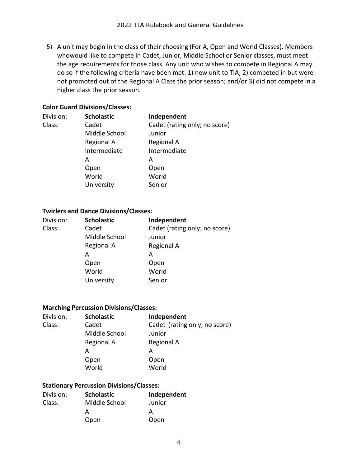5) A unit may begin in the class of their choosing (For A, Open and World Classes). Members whowould like to compete in Cadet, Junior, Middle School or Senior classes, must meet the age requirements for those class. Any unit who wishes to compete in Regional A may do so if the following criteria have been met: 1) new unit to TIA; 2) competed in but were not promoted out of the Regional A Class the prior season; and/or 3) did not compete in a higher class the prior season.

#### **Color Guard Divisions/Classes:**

| Division: | <b>Scholastic</b> | Independent                   |
|-----------|-------------------|-------------------------------|
| Class:    | Cadet             | Cadet (rating only; no score) |
|           | Middle School     | Junior                        |
|           | Regional A        | Regional A                    |
|           | Intermediate      | Intermediate                  |
|           | А                 | А                             |
|           | Open              | Open                          |
|           | World             | World                         |
|           | University        | Senior                        |

#### **Twirlers and Dance Divisions/Classes:**

| <b>Scholastic</b> | Independent                   |
|-------------------|-------------------------------|
| Cadet             | Cadet (rating only; no score) |
| Middle School     | Junior                        |
| Regional A        | Regional A                    |
| А                 | А                             |
| Open              | Open                          |
| World             | World                         |
| University        | Senior                        |
|                   |                               |

#### **Marching Percussion Divisions/Classes:**

| Division: | <b>Scholastic</b> | Independent                   |
|-----------|-------------------|-------------------------------|
| Class:    | Cadet             | Cadet (rating only; no score) |
|           | Middle School     | Junior                        |
|           | Regional A        | Regional A                    |
|           | A                 | А                             |
|           | Open              | Open                          |
|           | World             | World                         |

#### **Stationary Percussion Divisions/Classes:**

| Division: | <b>Scholastic</b> | Independent |
|-----------|-------------------|-------------|
| Class:    | Middle School     | Junior      |
|           |                   | А           |
|           | Open              | Open        |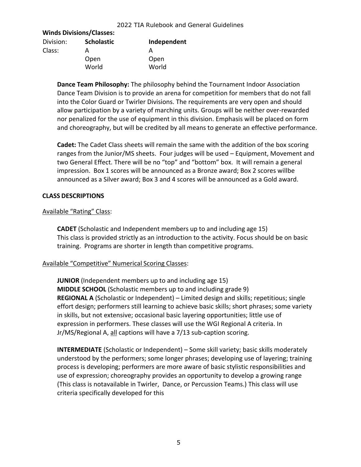#### **Winds Divisions/Classes:**

| Division: | <b>Scholastic</b> | Independent |
|-----------|-------------------|-------------|
| Class:    | А                 | А           |
|           | Open              | Open        |
|           | World             | World       |

**Dance Team Philosophy:** The philosophy behind the Tournament Indoor Association Dance Team Division is to provide an arena for competition for members that do not fall into the Color Guard or Twirler Divisions. The requirements are very open and should allow participation by a variety of marching units. Groups will be neither over-rewarded nor penalized for the use of equipment in this division. Emphasis will be placed on form and choreography, but will be credited by all means to generate an effective performance.

**Cadet:** The Cadet Class sheets will remain the same with the addition of the box scoring ranges from the Junior/MS sheets. Four judges will be used – Equipment, Movement and two General Effect. There will be no "top" and "bottom" box. It will remain a general impression. Box 1 scores will be announced as a Bronze award; Box 2 scores willbe announced as a Silver award; Box 3 and 4 scores will be announced as a Gold award.

#### **CLASS DESCRIPTIONS**

#### Available "Rating" Class:

**CADET** (Scholastic and Independent members up to and including age 15) This class is provided strictly as an introduction to the activity. Focus should be on basic training. Programs are shorter in length than competitive programs.

#### Available "Competitive" Numerical Scoring Classes:

**JUNIOR** (Independent members up to and including age 15) **MIDDLE SCHOOL** (Scholastic members up to and including grade 9) **REGIONAL A** (Scholastic or Independent) – Limited design and skills; repetitious; single effort design; performers still learning to achieve basic skills; short phrases; some variety in skills, but not extensive; occasional basic layering opportunities; little use of expression in performers. These classes will use the WGI Regional A criteria. In Jr/MS/Regional A, all captions will have a 7/13 sub-caption scoring.

**INTERMEDIATE** (Scholastic or Independent) – Some skill variety; basic skills moderately understood by the performers; some longer phrases; developing use of layering; training process is developing; performers are more aware of basic stylistic responsibilities and use of expression; choreography provides an opportunity to develop a growing range (This class is notavailable in Twirler, Dance, or Percussion Teams.) This class will use criteria specifically developed for this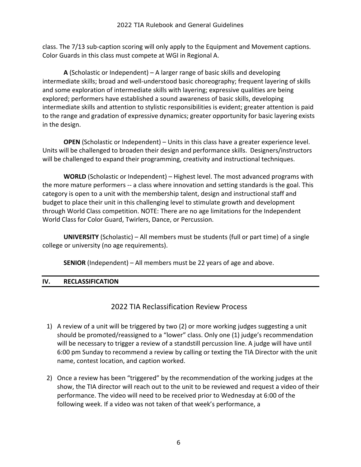class. The 7/13 sub-caption scoring will only apply to the Equipment and Movement captions. Color Guards in this class must compete at WGI in Regional A.

**A** (Scholastic or Independent) – A larger range of basic skills and developing intermediate skills; broad and well-understood basic choreography; frequent layering of skills and some exploration of intermediate skills with layering; expressive qualities are being explored; performers have established a sound awareness of basic skills, developing intermediate skills and attention to stylistic responsibilities is evident; greater attention is paid to the range and gradation of expressive dynamics; greater opportunity for basic layering exists in the design.

**OPEN** (Scholastic or Independent) – Units in this class have a greater experience level. Units will be challenged to broaden their design and performance skills. Designers/instructors will be challenged to expand their programming, creativity and instructional techniques.

**WORLD** (Scholastic or Independent) – Highest level. The most advanced programs with the more mature performers -- a class where innovation and setting standards is the goal. This category is open to a unit with the membership talent, design and instructional staff and budget to place their unit in this challenging level to stimulate growth and development through World Class competition. NOTE: There are no age limitations for the Independent World Class for Color Guard, Twirlers, Dance, or Percussion.

**UNIVERSITY** (Scholastic) – All members must be students (full or part time) of a single college or university (no age requirements).

**SENIOR** (Independent) – All members must be 22 years of age and above.

# **IV. RECLASSIFICATION**

# 2022 TIA Reclassification Review Process

- 1) A review of a unit will be triggered by two (2) or more working judges suggesting a unit should be promoted/reassigned to a "lower" class. Only one (1) judge's recommendation will be necessary to trigger a review of a standstill percussion line. A judge will have until 6:00 pm Sunday to recommend a review by calling or texting the TIA Director with the unit name, contest location, and caption worked.
- 2) Once a review has been "triggered" by the recommendation of the working judges at the show, the TIA director will reach out to the unit to be reviewed and request a video of their performance. The video will need to be received prior to Wednesday at 6:00 of the following week. If a video was not taken of that week's performance, a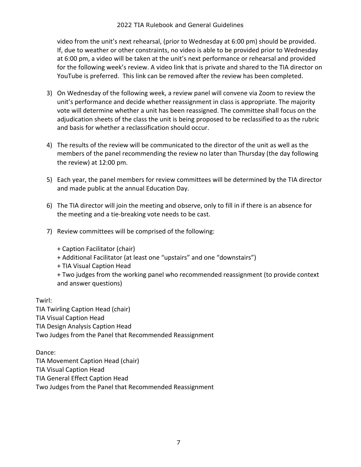video from the unit's next rehearsal, (prior to Wednesday at 6:00 pm) should be provided. If, due to weather or other constraints, no video is able to be provided prior to Wednesday at 6:00 pm, a video will be taken at the unit's next performance or rehearsal and provided for the following week's review. A video link that is private and shared to the TIA director on YouTube is preferred. This link can be removed after the review has been completed.

- 3) On Wednesday of the following week, a review panel will convene via Zoom to review the unit's performance and decide whether reassignment in class is appropriate. The majority vote will determine whether a unit has been reassigned. The committee shall focus on the adjudication sheets of the class the unit is being proposed to be reclassified to as the rubric and basis for whether a reclassification should occur.
- 4) The results of the review will be communicated to the director of the unit as well as the members of the panel recommending the review no later than Thursday (the day following the review) at 12:00 pm.
- 5) Each year, the panel members for review committees will be determined by the TIA director and made public at the annual Education Day.
- 6) The TIA director will join the meeting and observe, only to fill in if there is an absence for the meeting and a tie-breaking vote needs to be cast.
- 7) Review committees will be comprised of the following:
	- + Caption Facilitator (chair)
	- + Additional Facilitator (at least one "upstairs" and one "downstairs")
	- + TIA Visual Caption Head
	- + Two judges from the working panel who recommended reassignment (to provide context and answer questions)

Twirl: TIA Twirling Caption Head (chair) TIA Visual Caption Head TIA Design Analysis Caption Head Two Judges from the Panel that Recommended Reassignment

Dance: TIA Movement Caption Head (chair) TIA Visual Caption Head TIA General Effect Caption Head Two Judges from the Panel that Recommended Reassignment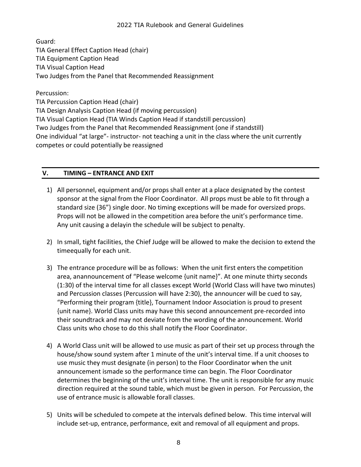Guard: TIA General Effect Caption Head (chair) TIA Equipment Caption Head TIA Visual Caption Head Two Judges from the Panel that Recommended Reassignment

Percussion: TIA Percussion Caption Head (chair) TIA Design Analysis Caption Head (if moving percussion) TIA Visual Caption Head (TIA Winds Caption Head if standstill percussion) Two Judges from the Panel that Recommended Reassignment (one if standstill) One individual "at large"- instructor- not teaching a unit in the class where the unit currently competes or could potentially be reassigned

# **V. TIMING – ENTRANCE AND EXIT**

- 1) All personnel, equipment and/or props shall enter at a place designated by the contest sponsor at the signal from the Floor Coordinator. All props must be able to fit through a standard size (36") single door. No timing exceptions will be made for oversized props. Props will not be allowed in the competition area before the unit's performance time. Any unit causing a delayin the schedule will be subject to penalty.
- 2) In small, tight facilities, the Chief Judge will be allowed to make the decision to extend the timeequally for each unit.
- 3) The entrance procedure will be as follows: When the unit first enters the competition area, anannouncement of "Please welcome {unit name}". At one minute thirty seconds (1:30) of the interval time for all classes except World (World Class will have two minutes) and Percussion classes (Percussion will have 2:30), the announcer will be cued to say, "Performing their program {title}, Tournament Indoor Association is proud to present {unit name}. World Class units may have this second announcement pre-recorded into their soundtrack and may not deviate from the wording of the announcement. World Class units who chose to do this shall notify the Floor Coordinator.
- 4) A World Class unit will be allowed to use music as part of their set up process through the house/show sound system after 1 minute of the unit's interval time. If a unit chooses to use music they must designate (in person) to the Floor Coordinator when the unit announcement ismade so the performance time can begin. The Floor Coordinator determines the beginning of the unit's interval time. The unit is responsible for any music direction required at the sound table, which must be given in person. For Percussion, the use of entrance music is allowable forall classes.
- 5) Units will be scheduled to compete at the intervals defined below. This time interval will include set-up, entrance, performance, exit and removal of all equipment and props.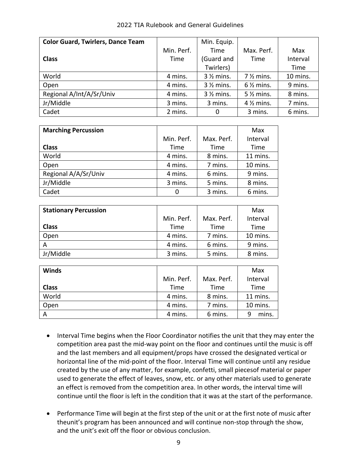| <b>Color Guard, Twirlers, Dance Team</b> |            | Min. Equip.          |                      |          |
|------------------------------------------|------------|----------------------|----------------------|----------|
|                                          | Min. Perf. | Time                 | Max. Perf.           | Max      |
| <b>Class</b>                             | Time       | (Guard and           | Time                 | Interval |
|                                          |            | Twirlers)            |                      | Time     |
| World                                    | 4 mins.    | $3\frac{1}{2}$ mins. | $72$ mins.           | 10 mins. |
| Open                                     | 4 mins.    | $3\frac{1}{2}$ mins. | $6\frac{1}{2}$ mins. | 9 mins.  |
| Regional A/Int/A/Sr/Univ                 | 4 mins.    | $3\frac{1}{2}$ mins. | 5 % mins.            | 8 mins.  |
| Jr/Middle                                | 3 mins.    | 3 mins.              | $4\frac{1}{2}$ mins. | 7 mins.  |
| Cadet                                    | 2 mins.    | 0                    | 3 mins.              | 6 mins.  |

| <b>Marching Percussion</b> |            |            | Max      |
|----------------------------|------------|------------|----------|
|                            | Min. Perf. | Max. Perf. | Interval |
| <b>Class</b>               | Time       | Time       | Time     |
| World                      | 4 mins.    | 8 mins.    | 11 mins. |
| Open                       | 4 mins.    | 7 mins.    | 10 mins. |
| Regional A/A/Sr/Univ       | 4 mins.    | 6 mins.    | 9 mins.  |
| Jr/Middle                  | 3 mins.    | 5 mins.    | 8 mins.  |
| Cadet                      | 0          | 3 mins.    | 6 mins.  |

| <b>Stationary Percussion</b> |            |            | Max      |
|------------------------------|------------|------------|----------|
|                              | Min. Perf. | Max. Perf. | Interval |
| <b>Class</b>                 | Time       | Time       | Time     |
| Open                         | 4 mins.    | 7 mins.    | 10 mins. |
|                              | 4 mins.    | 6 mins.    | 9 mins.  |
| Jr/Middle                    | 3 mins.    | 5 mins.    | 8 mins.  |

| <b>Winds</b> |            |            | Max      |
|--------------|------------|------------|----------|
|              | Min. Perf. | Max. Perf. | Interval |
| <b>Class</b> | Time       | Time       | Time     |
| World        | 4 mins.    | 8 mins.    | 11 mins. |
| Open         | 4 mins.    | 7 mins.    | 10 mins. |
| A            | 4 mins.    | 6 mins.    | mins.    |

- Interval Time begins when the Floor Coordinator notifies the unit that they may enter the competition area past the mid-way point on the floor and continues until the music is off and the last members and all equipment/props have crossed the designated vertical or horizontal line of the mid-point of the floor. Interval Time will continue until any residue created by the use of any matter, for example, confetti, small piecesof material or paper used to generate the effect of leaves, snow, etc. or any other materials used to generate an effect is removed from the competition area. In other words, the interval time will continue until the floor is left in the condition that it was at the start of the performance.
- Performance Time will begin at the first step of the unit or at the first note of music after theunit's program has been announced and will continue non-stop through the show, and the unit's exit off the floor or obvious conclusion.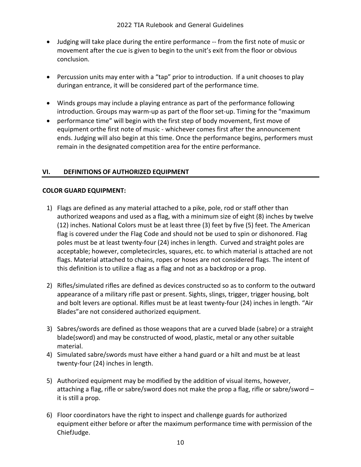- Judging will take place during the entire performance -- from the first note of music or movement after the cue is given to begin to the unit's exit from the floor or obvious conclusion.
- Percussion units may enter with a "tap" prior to introduction. If a unit chooses to play duringan entrance, it will be considered part of the performance time.
- Winds groups may include a playing entrance as part of the performance following introduction. Groups may warm-up as part of the floor set-up. Timing for the "maximum
- performance time" will begin with the first step of body movement, first move of equipment orthe first note of music - whichever comes first after the announcement ends. Judging will also begin at this time. Once the performance begins, performers must remain in the designated competition area for the entire performance.

#### **VI. DEFINITIONS OF AUTHORIZED EQUIPMENT**

#### **COLOR GUARD EQUIPMENT:**

- 1) Flags are defined as any material attached to a pike, pole, rod or staff other than authorized weapons and used as a flag, with a minimum size of eight (8) inches by twelve (12) inches. National Colors must be at least three (3) feet by five (5) feet. The American flag is covered under the Flag Code and should not be used to spin or dishonored. Flag poles must be at least twenty-four (24) inches in length. Curved and straight poles are acceptable; however, completecircles, squares, etc. to which material is attached are not flags. Material attached to chains, ropes or hoses are not considered flags. The intent of this definition is to utilize a flag as a flag and not as a backdrop or a prop.
- 2) Rifles/simulated rifles are defined as devices constructed so as to conform to the outward appearance of a military rifle past or present. Sights, slings, trigger, trigger housing, bolt and bolt levers are optional. Rifles must be at least twenty-four (24) inches in length. "Air Blades"are not considered authorized equipment.
- 3) Sabres/swords are defined as those weapons that are a curved blade (sabre) or a straight blade(sword) and may be constructed of wood, plastic, metal or any other suitable material.
- 4) Simulated sabre/swords must have either a hand guard or a hilt and must be at least twenty-four (24) inches in length.
- 5) Authorized equipment may be modified by the addition of visual items, however, attaching a flag, rifle or sabre/sword does not make the prop a flag, rifle or sabre/sword – it is still a prop.
- 6) Floor coordinators have the right to inspect and challenge guards for authorized equipment either before or after the maximum performance time with permission of the ChiefJudge.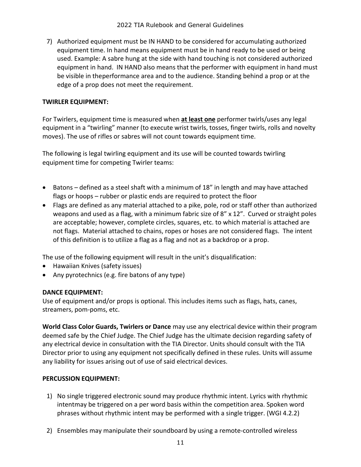7) Authorized equipment must be IN HAND to be considered for accumulating authorized equipment time. In hand means equipment must be in hand ready to be used or being used. Example: A sabre hung at the side with hand touching is not considered authorized equipment in hand. IN HAND also means that the performer with equipment in hand must be visible in theperformance area and to the audience. Standing behind a prop or at the edge of a prop does not meet the requirement.

# **TWIRLER EQUIPMENT:**

For Twirlers, equipment time is measured when **at least one** performer twirls/uses any legal equipment in a "twirling" manner (to execute wrist twirls, tosses, finger twirls, rolls and novelty moves). The use of rifles or sabres will not count towards equipment time.

The following is legal twirling equipment and its use will be counted towards twirling equipment time for competing Twirler teams:

- Batons defined as a steel shaft with a minimum of 18" in length and may have attached flags or hoops – rubber or plastic ends are required to protect the floor
- Flags are defined as any material attached to a pike, pole, rod or staff other than authorized weapons and used as a flag, with a minimum fabric size of 8" x 12". Curved or straight poles are acceptable; however, complete circles, squares, etc. to which material is attached are not flags. Material attached to chains, ropes or hoses are not considered flags. The intent of this definition is to utilize a flag as a flag and not as a backdrop or a prop.

The use of the following equipment will result in the unit's disqualification:

- Hawaiian Knives (safety issues)
- Any pyrotechnics (e.g. fire batons of any type)

#### **DANCE EQUIPMENT:**

Use of equipment and/or props is optional. This includes items such as flags, hats, canes, streamers, pom-poms, etc.

**World Class Color Guards, Twirlers or Dance** may use any electrical device within their program deemed safe by the Chief Judge. The Chief Judge has the ultimate decision regarding safety of any electrical device in consultation with the TIA Director. Units should consult with the TIA Director prior to using any equipment not specifically defined in these rules. Units will assume any liability for issues arising out of use of said electrical devices.

#### **PERCUSSION EQUIPMENT:**

- 1) No single triggered electronic sound may produce rhythmic intent. Lyrics with rhythmic intentmay be triggered on a per word basis within the competition area. Spoken word phrases without rhythmic intent may be performed with a single trigger. (WGI 4.2.2)
- 2) Ensembles may manipulate their soundboard by using a remote-controlled wireless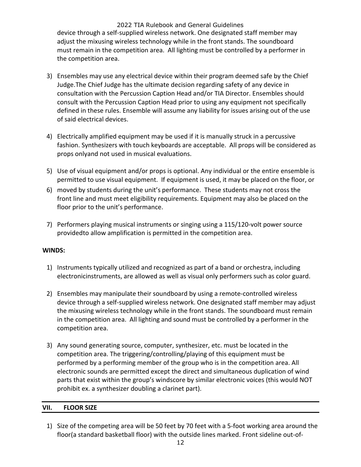2022 TIA Rulebook and General Guidelines device through a self-supplied wireless network. One designated staff member may adjust the mixusing wireless technology while in the front stands. The soundboard must remain in the competition area. All lighting must be controlled by a performer in the competition area.

- 3) Ensembles may use any electrical device within their program deemed safe by the Chief Judge.The Chief Judge has the ultimate decision regarding safety of any device in consultation with the Percussion Caption Head and/or TIA Director. Ensembles should consult with the Percussion Caption Head prior to using any equipment not specifically defined in these rules. Ensemble will assume any liability for issues arising out of the use of said electrical devices.
- 4) Electrically amplified equipment may be used if it is manually struck in a percussive fashion. Synthesizers with touch keyboards are acceptable. All props will be considered as props onlyand not used in musical evaluations.
- 5) Use of visual equipment and/or props is optional. Any individual or the entire ensemble is permitted to use visual equipment. If equipment is used, it may be placed on the floor, or
- 6) moved by students during the unit's performance. These students may not cross the front line and must meet eligibility requirements. Equipment may also be placed on the floor prior to the unit's performance.
- 7) Performers playing musical instruments or singing using a 115/120-volt power source providedto allow amplification is permitted in the competition area.

#### **WINDS:**

- 1) Instruments typically utilized and recognized as part of a band or orchestra, including electronicinstruments, are allowed as well as visual only performers such as color guard.
- 2) Ensembles may manipulate their soundboard by using a remote-controlled wireless device through a self-supplied wireless network. One designated staff member may adjust the mixusing wireless technology while in the front stands. The soundboard must remain in the competition area. All lighting and sound must be controlled by a performer in the competition area.
- 3) Any sound generating source, computer, synthesizer, etc. must be located in the competition area. The triggering/controlling/playing of this equipment must be performed by a performing member of the group who is in the competition area. All electronic sounds are permitted except the direct and simultaneous duplication of wind parts that exist within the group's windscore by similar electronic voices (this would NOT prohibit ex. a synthesizer doubling a clarinet part).

#### **VII. FLOOR SIZE**

1) Size of the competing area will be 50 feet by 70 feet with a 5-foot working area around the floor(a standard basketball floor) with the outside lines marked. Front sideline out-of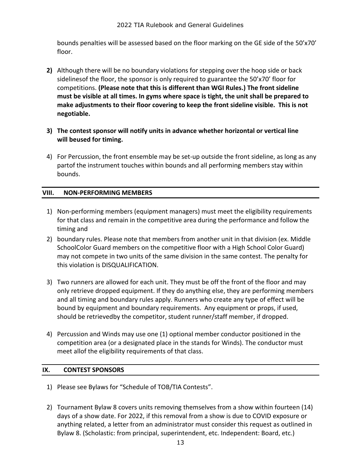bounds penalties will be assessed based on the floor marking on the GE side of the 50'x70' floor.

- **2)** Although there will be no boundary violations for stepping over the hoop side or back sidelinesof the floor, the sponsor is only required to guarantee the 50'x70' floor for competitions. **(Please note that this is different than WGI Rules.) The front sideline must be visible at all times. In gyms where space is tight, the unit shall be prepared to make adjustments to their floor covering to keep the front sideline visible. This is not negotiable.**
- **3) The contest sponsor will notify units in advance whether horizontal or vertical line will beused for timing.**
- 4) For Percussion, the front ensemble may be set-up outside the front sideline, as long as any partof the instrument touches within bounds and all performing members stay within bounds.

#### **VIII. NON-PERFORMING MEMBERS**

- 1) Non-performing members (equipment managers) must meet the eligibility requirements for that class and remain in the competitive area during the performance and follow the timing and
- 2) boundary rules. Please note that members from another unit in that division (ex. Middle SchoolColor Guard members on the competitive floor with a High School Color Guard) may not compete in two units of the same division in the same contest. The penalty for this violation is DISQUALIFICATION.
- 3) Two runners are allowed for each unit. They must be off the front of the floor and may only retrieve dropped equipment. If they do anything else, they are performing members and all timing and boundary rules apply. Runners who create any type of effect will be bound by equipment and boundary requirements. Any equipment or props, if used, should be retrievedby the competitor, student runner/staff member, if dropped.
- 4) Percussion and Winds may use one (1) optional member conductor positioned in the competition area (or a designated place in the stands for Winds). The conductor must meet allof the eligibility requirements of that class.

#### **IX. CONTEST SPONSORS**

- 1) Please see Bylaws for "Schedule of TOB/TIA Contests".
- 2) Tournament Bylaw 8 covers units removing themselves from a show within fourteen (14) days of a show date. For 2022, if this removal from a show is due to COVID exposure or anything related, a letter from an administrator must consider this request as outlined in Bylaw 8. (Scholastic: from principal, superintendent, etc. Independent: Board, etc.)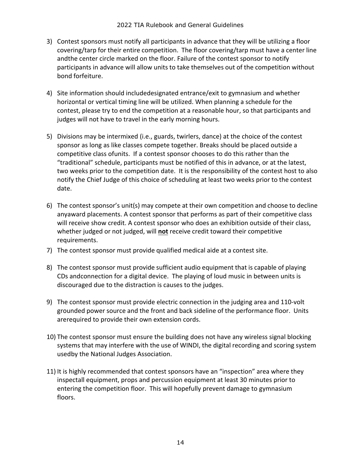- 3) Contest sponsors must notify all participants in advance that they will be utilizing a floor covering/tarp for their entire competition. The floor covering/tarp must have a center line andthe center circle marked on the floor. Failure of the contest sponsor to notify participants in advance will allow units to take themselves out of the competition without bond forfeiture.
- 4) Site information should includedesignated entrance/exit to gymnasium and whether horizontal or vertical timing line will be utilized. When planning a schedule for the contest, please try to end the competition at a reasonable hour, so that participants and judges will not have to travel in the early morning hours.
- 5) Divisions may be intermixed (i.e., guards, twirlers, dance) at the choice of the contest sponsor as long as like classes compete together. Breaks should be placed outside a competitive class ofunits. If a contest sponsor chooses to do this rather than the "traditional" schedule, participants must be notified of this in advance, or at the latest, two weeks prior to the competition date. It is the responsibility of the contest host to also notify the Chief Judge of this choice of scheduling at least two weeks prior to the contest date.
- 6) The contest sponsor's unit(s) may compete at their own competition and choose to decline anyaward placements. A contest sponsor that performs as part of their competitive class will receive show credit. A contest sponsor who does an exhibition outside of their class, whether judged or not judged, will **not** receive credit toward their competitive requirements.
- 7) The contest sponsor must provide qualified medical aide at a contest site.
- 8) The contest sponsor must provide sufficient audio equipment that is capable of playing CDs andconnection for a digital device. The playing of loud music in between units is discouraged due to the distraction is causes to the judges.
- 9) The contest sponsor must provide electric connection in the judging area and 110-volt grounded power source and the front and back sideline of the performance floor. Units arerequired to provide their own extension cords.
- 10) The contest sponsor must ensure the building does not have any wireless signal blocking systems that may interfere with the use of WINDI, the digital recording and scoring system usedby the National Judges Association.
- 11) It is highly recommended that contest sponsors have an "inspection" area where they inspectall equipment, props and percussion equipment at least 30 minutes prior to entering the competition floor. This will hopefully prevent damage to gymnasium floors.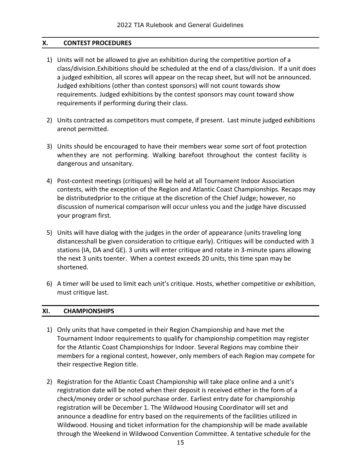#### **X. CONTEST PROCEDURES**

- 1) Units will not be allowed to give an exhibition during the competitive portion of a class/division.Exhibitions should be scheduled at the end of a class/division. If a unit does a judged exhibition, all scores will appear on the recap sheet, but will not be announced. Judged exhibitions (other than contest sponsors) will not count towards show requirements. Judged exhibitions by the contest sponsors may count toward show requirements if performing during their class.
- 2) Units contracted as competitors must compete, if present. Last minute judged exhibitions arenot permitted.
- 3) Units should be encouraged to have their members wear some sort of foot protection whenthey are not performing. Walking barefoot throughout the contest facility is dangerous and unsanitary.
- 4) Post-contest meetings (critiques) will be held at all Tournament Indoor Association contests, with the exception of the Region and Atlantic Coast Championships. Recaps may be distributedprior to the critique at the discretion of the Chief Judge; however, no discussion of numerical comparison will occur unless you and the judge have discussed your program first.
- 5) Units will have dialog with the judges in the order of appearance (units traveling long distancesshall be given consideration to critique early). Critiques will be conducted with 3 stations (IA, DA and GE). 3 units will enter critique and rotate in 3-minute spans allowing the next 3 units toenter. When a contest exceeds 20 units, this time span may be shortened.
- 6) A timer will be used to limit each unit's critique. Hosts, whether competitive or exhibition, must critique last.

#### **XI. CHAMPIONSHIPS**

- 1) Only units that have competed in their Region Championship and have met the Tournament Indoor requirements to qualify for championship competition may register for the Atlantic Coast Championships for Indoor. Several Regions may combine their members for a regional contest, however, only members of each Region may compete for their respective Region title.
- 2) Registration for the Atlantic Coast Championship will take place online and a unit's registration date will be noted when their deposit is received either in the form of a check/money order or school purchase order. Earliest entry date for championship registration will be December 1. The Wildwood Housing Coordinator will set and announce a deadline for entry based on the requirements of the facilities utilized in Wildwood. Housing and ticket information for the championship will be made available through the Weekend in Wildwood Convention Committee. A tentative schedule for the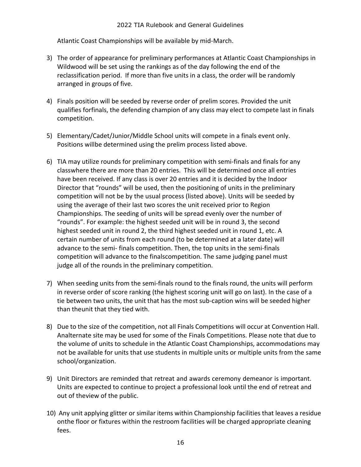Atlantic Coast Championships will be available by mid-March.

- 3) The order of appearance for preliminary performances at Atlantic Coast Championships in Wildwood will be set using the rankings as of the day following the end of the reclassification period. If more than five units in a class, the order will be randomly arranged in groups of five.
- 4) Finals position will be seeded by reverse order of prelim scores. Provided the unit qualifies forfinals, the defending champion of any class may elect to compete last in finals competition.
- 5) Elementary/Cadet/Junior/Middle School units will compete in a finals event only. Positions willbe determined using the prelim process listed above.
- 6) TIA may utilize rounds for preliminary competition with semi-finals and finals for any classwhere there are more than 20 entries. This will be determined once all entries have been received. If any class is over 20 entries and it is decided by the Indoor Director that "rounds" will be used, then the positioning of units in the preliminary competition will not be by the usual process (listed above). Units will be seeded by using the average of their last two scores the unit received prior to Region Championships. The seeding of units will be spread evenly over the number of "rounds". For example: the highest seeded unit will be in round 3, the second highest seeded unit in round 2, the third highest seeded unit in round 1, etc. A certain number of units from each round (to be determined at a later date) will advance to the semi- finals competition. Then, the top units in the semi-finals competition will advance to the finalscompetition. The same judging panel must judge all of the rounds in the preliminary competition.
- 7) When seeding units from the semi-finals round to the finals round, the units will perform in reverse order of score ranking (the highest scoring unit will go on last). In the case of a tie between two units, the unit that has the most sub-caption wins will be seeded higher than theunit that they tied with.
- 8) Due to the size of the competition, not all Finals Competitions will occur at Convention Hall. Analternate site may be used for some of the Finals Competitions. Please note that due to the volume of units to schedule in the Atlantic Coast Championships, accommodations may not be available for units that use students in multiple units or multiple units from the same school/organization.
- 9) Unit Directors are reminded that retreat and awards ceremony demeanor is important. Units are expected to continue to project a professional look until the end of retreat and out of theview of the public.
- 10) Any unit applying glitter or similar items within Championship facilities that leaves a residue onthe floor or fixtures within the restroom facilities will be charged appropriate cleaning fees.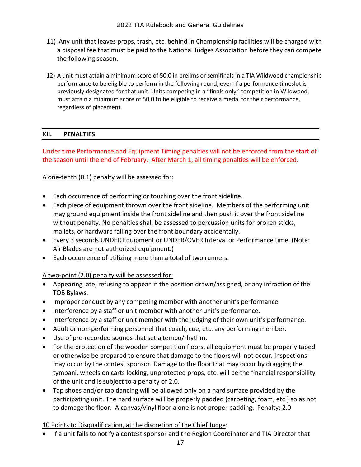- 11) Any unit that leaves props, trash, etc. behind in Championship facilities will be charged with a disposal fee that must be paid to the National Judges Association before they can compete the following season.
- 12) A unit must attain a minimum score of 50.0 in prelims or semifinals in a TIA Wildwood championship performance to be eligible to perform in the following round, even if a performance timeslot is previously designated for that unit. Units competing in a "finals only" competition in Wildwood, must attain a minimum score of 50.0 to be eligible to receive a medal for their performance, regardless of placement.

#### **XII. PENALTIES**

Under time Performance and Equipment Timing penalties will not be enforced from the start of the season until the end of February. After March 1, all timing penalties will be enforced.

#### A one-tenth (0.1) penalty will be assessed for:

- Each occurrence of performing or touching over the front sideline.
- Each piece of equipment thrown over the front sideline. Members of the performing unit may ground equipment inside the front sideline and then push it over the front sideline without penalty. No penalties shall be assessed to percussion units for broken sticks, mallets, or hardware falling over the front boundary accidentally.
- Every 3 seconds UNDER Equipment or UNDER/OVER Interval or Performance time. (Note: Air Blades are not authorized equipment.)
- Each occurrence of utilizing more than a total of two runners.

#### A two-point (2.0) penalty will be assessed for:

- Appearing late, refusing to appear in the position drawn/assigned, or any infraction of the TOB Bylaws.
- Improper conduct by any competing member with another unit's performance
- Interference by a staff or unit member with another unit's performance.
- Interference by a staff or unit member with the judging of their own unit's performance.
- Adult or non-performing personnel that coach, cue, etc. any performing member.
- Use of pre-recorded sounds that set a tempo/rhythm.
- For the protection of the wooden competition floors, all equipment must be properly taped or otherwise be prepared to ensure that damage to the floors will not occur. Inspections may occur by the contest sponsor. Damage to the floor that may occur by dragging the tympani, wheels on carts locking, unprotected props, etc. will be the financial responsibility of the unit and is subject to a penalty of 2.0.
- Tap shoes and/or tap dancing will be allowed only on a hard surface provided by the participating unit. The hard surface will be properly padded (carpeting, foam, etc.) so as not to damage the floor. A canvas/vinyl floor alone is not proper padding. Penalty: 2.0

10 Points to Disqualification, at the discretion of the Chief Judge:

• If a unit fails to notify a contest sponsor and the Region Coordinator and TIA Director that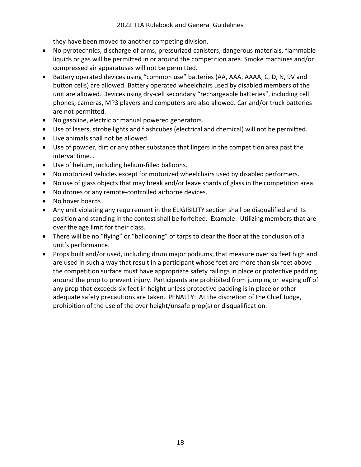they have been moved to another competing division.

- No pyrotechnics, discharge of arms, pressurized canisters, dangerous materials, flammable liquids or gas will be permitted in or around the competition area. Smoke machines and/or compressed air apparatuses will not be permitted.
- Battery operated devices using "common use" batteries (AA, AAA, AAAA, C, D, N, 9V and button cells) are allowed. Battery operated wheelchairs used by disabled members of the unit are allowed. Devices using dry-cell secondary "rechargeable batteries", including cell phones, cameras, MP3 players and computers are also allowed. Car and/or truck batteries are not permitted.
- No gasoline, electric or manual powered generators.
- Use of lasers, strobe lights and flashcubes (electrical and chemical) will not be permitted.
- Live animals shall not be allowed.
- Use of powder, dirt or any other substance that lingers in the competition area past the interval time…
- Use of helium, including helium-filled balloons.
- No motorized vehicles except for motorized wheelchairs used by disabled performers.
- No use of glass objects that may break and/or leave shards of glass in the competition area.
- No drones or any remote-controlled airborne devices.
- No hover boards
- Any unit violating any requirement in the ELIGIBILITY section shall be disqualified and its position and standing in the contest shall be forfeited. Example: Utilizing members that are over the age limit for their class.
- There will be no "flying" or "ballooning" of tarps to clear the floor at the conclusion of a unit's performance.
- Props built and/or used, including drum major podiums, that measure over six feet high and are used in such a way that result in a participant whose feet are more than six feet above the competition surface must have appropriate safety railings in place or protective padding around the prop to prevent injury. Participants are prohibited from jumping or leaping off of any prop that exceeds six feet in height unless protective padding is in place or other adequate safety precautions are taken. PENALTY: At the discretion of the Chief Judge, prohibition of the use of the over height/unsafe prop(s) or disqualification.